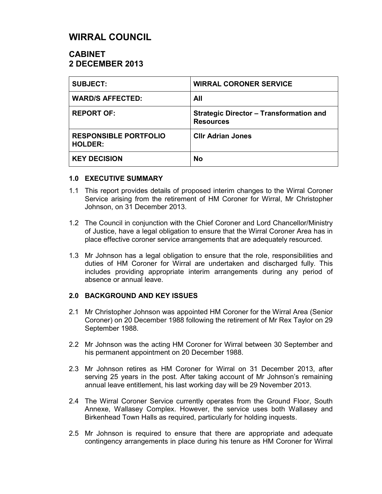# **WIRRAL COUNCIL**

# **CABINET 2 DECEMBER 2013**

| <b>SUBJECT:</b>                                | <b>WIRRAL CORONER SERVICE</b>                                      |
|------------------------------------------------|--------------------------------------------------------------------|
| <b>WARD/S AFFECTED:</b>                        | All                                                                |
| <b>REPORT OF:</b>                              | <b>Strategic Director - Transformation and</b><br><b>Resources</b> |
| <b>RESPONSIBLE PORTFOLIO</b><br><b>HOLDER:</b> | <b>CIIr Adrian Jones</b>                                           |
| <b>KEY DECISION</b>                            | <b>No</b>                                                          |

#### **1.0 EXECUTIVE SUMMARY**

- 1.1 This report provides details of proposed interim changes to the Wirral Coroner Service arising from the retirement of HM Coroner for Wirral, Mr Christopher Johnson, on 31 December 2013.
- 1.2 The Council in conjunction with the Chief Coroner and Lord Chancellor/Ministry of Justice, have a legal obligation to ensure that the Wirral Coroner Area has in place effective coroner service arrangements that are adequately resourced.
- 1.3 Mr Johnson has a legal obligation to ensure that the role, responsibilities and duties of HM Coroner for Wirral are undertaken and discharged fully. This includes providing appropriate interim arrangements during any period of absence or annual leave.

#### **2.0 BACKGROUND AND KEY ISSUES**

- 2.1 Mr Christopher Johnson was appointed HM Coroner for the Wirral Area (Senior Coroner) on 20 December 1988 following the retirement of Mr Rex Taylor on 29 September 1988.
- 2.2 Mr Johnson was the acting HM Coroner for Wirral between 30 September and his permanent appointment on 20 December 1988.
- 2.3 Mr Johnson retires as HM Coroner for Wirral on 31 December 2013, after serving 25 years in the post. After taking account of Mr Johnson's remaining annual leave entitlement, his last working day will be 29 November 2013.
- 2.4 The Wirral Coroner Service currently operates from the Ground Floor, South Annexe, Wallasey Complex. However, the service uses both Wallasey and Birkenhead Town Halls as required, particularly for holding inquests.
- 2.5 Mr Johnson is required to ensure that there are appropriate and adequate contingency arrangements in place during his tenure as HM Coroner for Wirral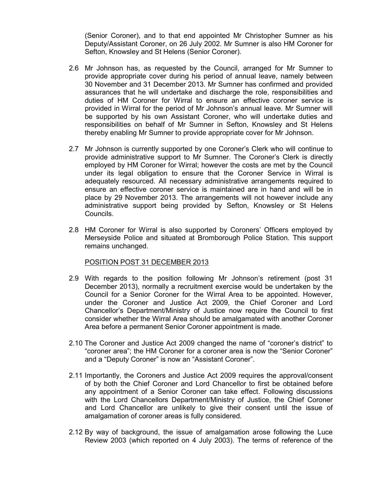(Senior Coroner), and to that end appointed Mr Christopher Sumner as his Deputy/Assistant Coroner, on 26 July 2002. Mr Sumner is also HM Coroner for Sefton, Knowsley and St Helens (Senior Coroner).

- 2.6 Mr Johnson has, as requested by the Council, arranged for Mr Sumner to provide appropriate cover during his period of annual leave, namely between 30 November and 31 December 2013. Mr Sumner has confirmed and provided assurances that he will undertake and discharge the role, responsibilities and duties of HM Coroner for Wirral to ensure an effective coroner service is provided in Wirral for the period of Mr Johnson's annual leave. Mr Sumner will be supported by his own Assistant Coroner, who will undertake duties and responsibilities on behalf of Mr Sumner in Sefton, Knowsley and St Helens thereby enabling Mr Sumner to provide appropriate cover for Mr Johnson.
- 2.7 Mr Johnson is currently supported by one Coroner's Clerk who will continue to provide administrative support to Mr Sumner. The Coroner's Clerk is directly employed by HM Coroner for Wirral; however the costs are met by the Council under its legal obligation to ensure that the Coroner Service in Wirral is adequately resourced. All necessary administrative arrangements required to ensure an effective coroner service is maintained are in hand and will be in place by 29 November 2013. The arrangements will not however include any administrative support being provided by Sefton, Knowsley or St Helens Councils.
- 2.8 HM Coroner for Wirral is also supported by Coroners' Officers employed by Merseyside Police and situated at Bromborough Police Station. This support remains unchanged.

#### POSITION POST 31 DECEMBER 2013

- 2.9 With regards to the position following Mr Johnson's retirement (post 31 December 2013), normally a recruitment exercise would be undertaken by the Council for a Senior Coroner for the Wirral Area to be appointed. However, under the Coroner and Justice Act 2009, the Chief Coroner and Lord Chancellor's Department/Ministry of Justice now require the Council to first consider whether the Wirral Area should be amalgamated with another Coroner Area before a permanent Senior Coroner appointment is made.
- 2.10 The Coroner and Justice Act 2009 changed the name of "coroner's district" to "coroner area"; the HM Coroner for a coroner area is now the "Senior Coroner" and a "Deputy Coroner" is now an "Assistant Coroner".
- 2.11 Importantly, the Coroners and Justice Act 2009 requires the approval/consent of by both the Chief Coroner and Lord Chancellor to first be obtained before any appointment of a Senior Coroner can take effect. Following discussions with the Lord Chancellors Department/Ministry of Justice, the Chief Coroner and Lord Chancellor are unlikely to give their consent until the issue of amalgamation of coroner areas is fully considered.
- 2.12 By way of background, the issue of amalgamation arose following the Luce Review 2003 (which reported on 4 July 2003). The terms of reference of the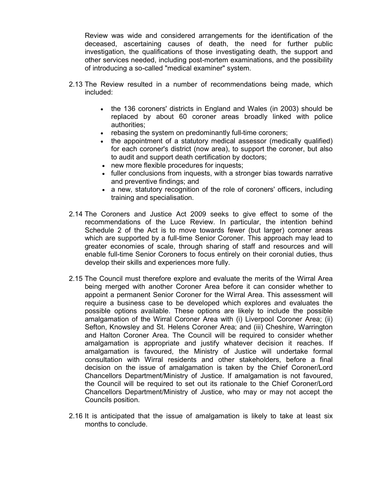Review was wide and considered arrangements for the identification of the deceased, ascertaining causes of death, the need for further public investigation, the qualifications of those investigating death, the support and other services needed, including post-mortem examinations, and the possibility of introducing a so-called "medical examiner" system.

- 2.13 The Review resulted in a number of recommendations being made, which included:
	- the 136 coroners' districts in England and Wales (in 2003) should be replaced by about 60 coroner areas broadly linked with police authorities;
	- rebasing the system on predominantly full-time coroners;
	- the appointment of a statutory medical assessor (medically qualified) for each coroner's district (now area), to support the coroner, but also to audit and support death certification by doctors;
	- new more flexible procedures for inquests;
	- fuller conclusions from inquests, with a stronger bias towards narrative and preventive findings; and
	- a new, statutory recognition of the role of coroners' officers, including training and specialisation.
- 2.14 The Coroners and Justice Act 2009 seeks to give effect to some of the recommendations of the Luce Review. In particular, the intention behind Schedule 2 of the Act is to move towards fewer (but larger) coroner areas which are supported by a full-time Senior Coroner. This approach may lead to greater economies of scale, through sharing of staff and resources and will enable full-time Senior Coroners to focus entirely on their coronial duties, thus develop their skills and experiences more fully.
- 2.15 The Council must therefore explore and evaluate the merits of the Wirral Area being merged with another Coroner Area before it can consider whether to appoint a permanent Senior Coroner for the Wirral Area. This assessment will require a business case to be developed which explores and evaluates the possible options available. These options are likely to include the possible amalgamation of the Wirral Coroner Area with (i) Liverpool Coroner Area; (ii) Sefton, Knowsley and St. Helens Coroner Area; and (iii) Cheshire, Warrington and Halton Coroner Area. The Council will be required to consider whether amalgamation is appropriate and justify whatever decision it reaches. If amalgamation is favoured, the Ministry of Justice will undertake formal consultation with Wirral residents and other stakeholders, before a final decision on the issue of amalgamation is taken by the Chief Coroner/Lord Chancellors Department/Ministry of Justice. If amalgamation is not favoured, the Council will be required to set out its rationale to the Chief Coroner/Lord Chancellors Department/Ministry of Justice, who may or may not accept the Councils position.
- 2.16 It is anticipated that the issue of amalgamation is likely to take at least six months to conclude.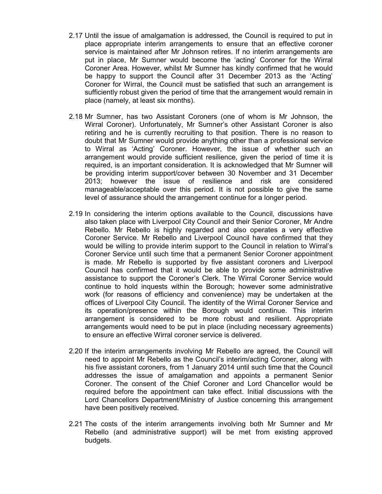- 2.17 Until the issue of amalgamation is addressed, the Council is required to put in place appropriate interim arrangements to ensure that an effective coroner service is maintained after Mr Johnson retires. If no interim arrangements are put in place, Mr Sumner would become the 'acting' Coroner for the Wirral Coroner Area. However, whilst Mr Sumner has kindly confirmed that he would be happy to support the Council after 31 December 2013 as the 'Acting' Coroner for Wirral, the Council must be satisfied that such an arrangement is sufficiently robust given the period of time that the arrangement would remain in place (namely, at least six months).
- 2.18 Mr Sumner, has two Assistant Coroners (one of whom is Mr Johnson, the Wirral Coroner). Unfortunately, Mr Sumner's other Assistant Coroner is also retiring and he is currently recruiting to that position. There is no reason to doubt that Mr Sumner would provide anything other than a professional service to Wirral as 'Acting' Coroner. However, the issue of whether such an arrangement would provide sufficient resilience, given the period of time it is required, is an important consideration. It is acknowledged that Mr Sumner will be providing interim support/cover between 30 November and 31 December 2013; however the issue of resilience and risk are considered manageable/acceptable over this period. It is not possible to give the same level of assurance should the arrangement continue for a longer period.
- 2.19 In considering the interim options available to the Council, discussions have also taken place with Liverpool City Council and their Senior Coroner, Mr Andre Rebello. Mr Rebello is highly regarded and also operates a very effective Coroner Service. Mr Rebello and Liverpool Council have confirmed that they would be willing to provide interim support to the Council in relation to Wirral's Coroner Service until such time that a permanent Senior Coroner appointment is made. Mr Rebello is supported by five assistant coroners and Liverpool Council has confirmed that it would be able to provide some administrative assistance to support the Coroner's Clerk. The Wirral Coroner Service would continue to hold inquests within the Borough; however some administrative work (for reasons of efficiency and convenience) may be undertaken at the offices of Liverpool City Council. The identity of the Wirral Coroner Service and its operation/presence within the Borough would continue. This interim arrangement is considered to be more robust and resilient. Appropriate arrangements would need to be put in place (including necessary agreements) to ensure an effective Wirral coroner service is delivered.
- 2.20 If the interim arrangements involving Mr Rebello are agreed, the Council will need to appoint Mr Rebello as the Council's interim/acting Coroner, along with his five assistant coroners, from 1 January 2014 until such time that the Council addresses the issue of amalgamation and appoints a permanent Senior Coroner. The consent of the Chief Coroner and Lord Chancellor would be required before the appointment can take effect. Initial discussions with the Lord Chancellors Department/Ministry of Justice concerning this arrangement have been positively received.
- 2.21 The costs of the interim arrangements involving both Mr Sumner and Mr Rebello (and administrative support) will be met from existing approved budgets.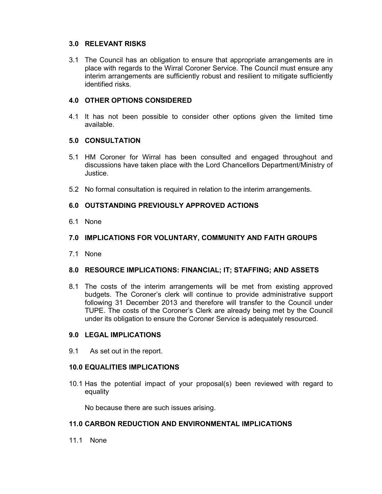#### **3.0 RELEVANT RISKS**

3.1 The Council has an obligation to ensure that appropriate arrangements are in place with regards to the Wirral Coroner Service. The Council must ensure any interim arrangements are sufficiently robust and resilient to mitigate sufficiently identified risks.

### **4.0 OTHER OPTIONS CONSIDERED**

4.1 It has not been possible to consider other options given the limited time available.

#### **5.0 CONSULTATION**

- 5.1 HM Coroner for Wirral has been consulted and engaged throughout and discussions have taken place with the Lord Chancellors Department/Ministry of Justice.
- 5.2 No formal consultation is required in relation to the interim arrangements.

### **6.0 OUTSTANDING PREVIOUSLY APPROVED ACTIONS**

6.1 None

#### **7.0 IMPLICATIONS FOR VOLUNTARY, COMMUNITY AND FAITH GROUPS**

7.1 None

#### **8.0 RESOURCE IMPLICATIONS: FINANCIAL; IT; STAFFING; AND ASSETS**

8.1 The costs of the interim arrangements will be met from existing approved budgets. The Coroner's clerk will continue to provide administrative support following 31 December 2013 and therefore will transfer to the Council under TUPE. The costs of the Coroner's Clerk are already being met by the Council under its obligation to ensure the Coroner Service is adequately resourced.

#### **9.0 LEGAL IMPLICATIONS**

9.1 As set out in the report.

#### **10.0 EQUALITIES IMPLICATIONS**

10.1 Has the potential impact of your proposal(s) been reviewed with regard to equality

No because there are such issues arising.

#### **11.0 CARBON REDUCTION AND ENVIRONMENTAL IMPLICATIONS**

11.1 None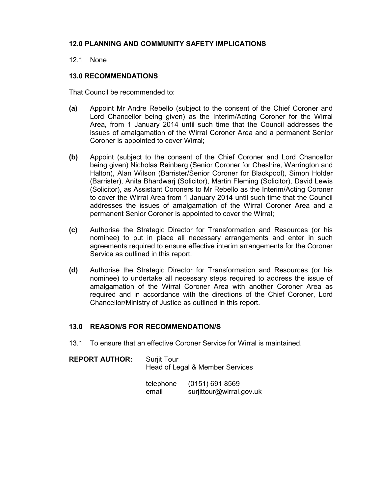## **12.0 PLANNING AND COMMUNITY SAFETY IMPLICATIONS**

#### 12.1 None

#### **13.0 RECOMMENDATIONS**:

That Council be recommended to:

- **(a)** Appoint Mr Andre Rebello (subject to the consent of the Chief Coroner and Lord Chancellor being given) as the Interim/Acting Coroner for the Wirral Area, from 1 January 2014 until such time that the Council addresses the issues of amalgamation of the Wirral Coroner Area and a permanent Senior Coroner is appointed to cover Wirral;
- **(b)** Appoint (subject to the consent of the Chief Coroner and Lord Chancellor being given) Nicholas Reinberg (Senior Coroner for Cheshire, Warrington and Halton), Alan Wilson (Barrister/Senior Coroner for Blackpool), Simon Holder (Barrister), Anita Bhardwarj (Solicitor), Martin Fleming (Solicitor), David Lewis (Solicitor), as Assistant Coroners to Mr Rebello as the Interim/Acting Coroner to cover the Wirral Area from 1 January 2014 until such time that the Council addresses the issues of amalgamation of the Wirral Coroner Area and a permanent Senior Coroner is appointed to cover the Wirral;
- **(c)** Authorise the Strategic Director for Transformation and Resources (or his nominee) to put in place all necessary arrangements and enter in such agreements required to ensure effective interim arrangements for the Coroner Service as outlined in this report.
- **(d)** Authorise the Strategic Director for Transformation and Resources (or his nominee) to undertake all necessary steps required to address the issue of amalgamation of the Wirral Coroner Area with another Coroner Area as required and in accordance with the directions of the Chief Coroner, Lord Chancellor/Ministry of Justice as outlined in this report.

#### **13.0 REASON/S FOR RECOMMENDATION/S**

13.1 To ensure that an effective Coroner Service for Wirral is maintained.

| <b>REPORT AUTHOR:</b> | <b>Suriit Tour</b><br>Head of Legal & Member Services |
|-----------------------|-------------------------------------------------------|
|                       |                                                       |

| telephone | (0151) 691 8569          |
|-----------|--------------------------|
| email     | surjittour@wirral.gov.uk |